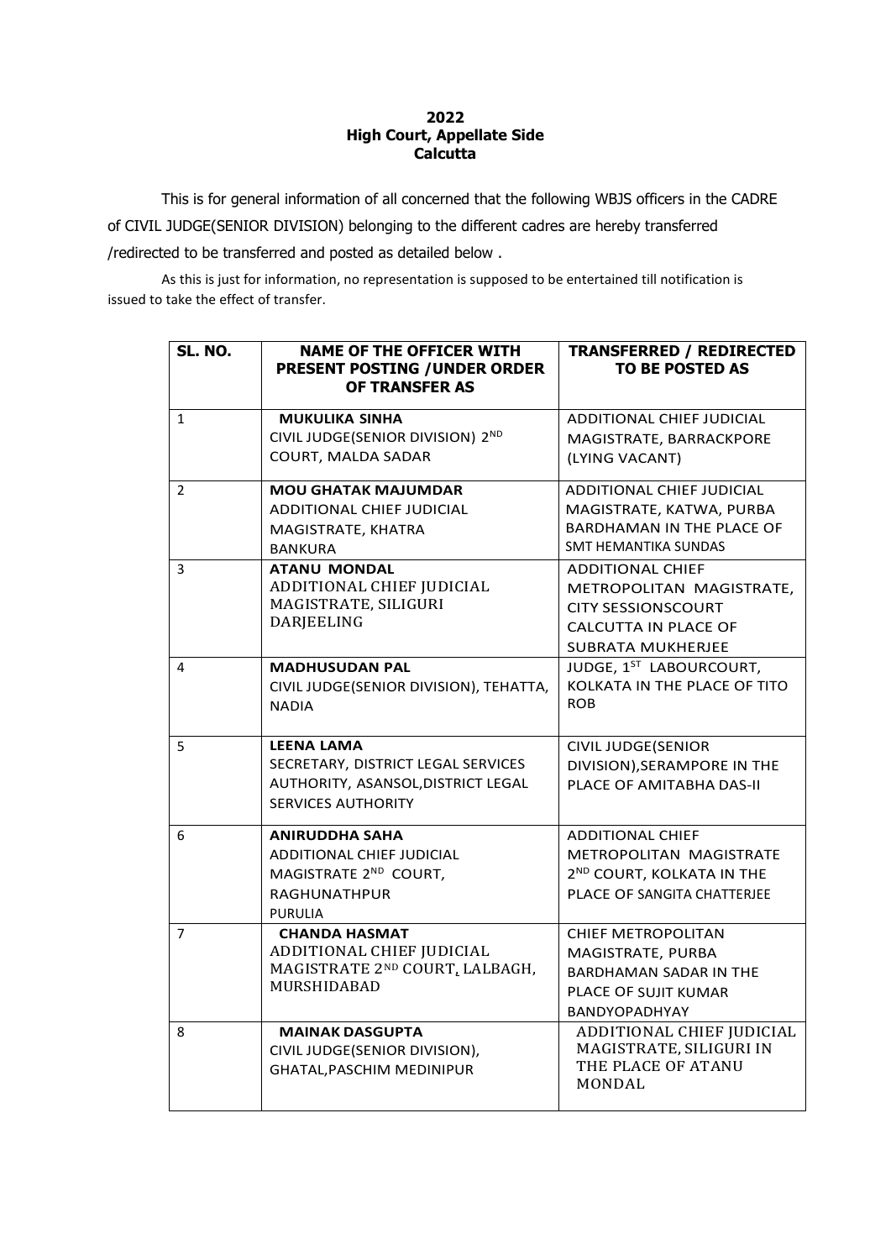## **2022 High Court, Appellate Side Calcutta**

This is for general information of all concerned that the following WBJS officers in the CADRE of CIVIL JUDGE(SENIOR DIVISION) belonging to the different cadres are hereby transferred /redirected to be transferred and posted as detailed below .

As this is just for information, no representation is supposed to be entertained till notification is issued to take the effect of transfer.

| SL. NO.        | <b>NAME OF THE OFFICER WITH</b><br><b>PRESENT POSTING / UNDER ORDER</b><br>OF TRANSFER AS                                  | <b>TRANSFERRED / REDIRECTED</b><br><b>TO BE POSTED AS</b>                                                                                   |
|----------------|----------------------------------------------------------------------------------------------------------------------------|---------------------------------------------------------------------------------------------------------------------------------------------|
| $\mathbf{1}$   | <b>MUKULIKA SINHA</b><br>CIVIL JUDGE(SENIOR DIVISION) 2ND<br><b>COURT, MALDA SADAR</b>                                     | ADDITIONAL CHIEF JUDICIAL<br>MAGISTRATE, BARRACKPORE<br>(LYING VACANT)                                                                      |
| $\overline{2}$ | <b>MOU GHATAK MAJUMDAR</b><br><b>ADDITIONAL CHIEF JUDICIAL</b><br>MAGISTRATE, KHATRA<br><b>BANKURA</b>                     | <b>ADDITIONAL CHIEF JUDICIAL</b><br>MAGISTRATE, KATWA, PURBA<br><b>BARDHAMAN IN THE PLACE OF</b><br><b>SMT HEMANTIKA SUNDAS</b>             |
| 3              | <b>ATANU MONDAL</b><br>ADDITIONAL CHIEF JUDICIAL<br>MAGISTRATE, SILIGURI<br>DARJEELING                                     | <b>ADDITIONAL CHIEF</b><br>METROPOLITAN MAGISTRATE,<br><b>CITY SESSIONSCOURT</b><br><b>CALCUTTA IN PLACE OF</b><br><b>SUBRATA MUKHERJEE</b> |
| 4              | <b>MADHUSUDAN PAL</b><br>CIVIL JUDGE(SENIOR DIVISION), TEHATTA,<br><b>NADIA</b>                                            | JUDGE, 1 <sup>ST</sup> LABOURCOURT,<br>KOLKATA IN THE PLACE OF TITO<br><b>ROB</b>                                                           |
| 5              | <b>LEENA LAMA</b><br>SECRETARY, DISTRICT LEGAL SERVICES<br>AUTHORITY, ASANSOL, DISTRICT LEGAL<br><b>SERVICES AUTHORITY</b> | <b>CIVIL JUDGE(SENIOR</b><br>DIVISION), SERAMPORE IN THE<br>PLACE OF AMITABHA DAS-II                                                        |
| 6              | <b>ANIRUDDHA SAHA</b><br>ADDITIONAL CHIEF JUDICIAL<br>MAGISTRATE 2ND COURT,<br><b>RAGHUNATHPUR</b><br><b>PURULIA</b>       | <b>ADDITIONAL CHIEF</b><br>METROPOLITAN MAGISTRATE<br>2 <sup>ND</sup> COURT, KOLKATA IN THE<br>PLACE OF SANGITA CHATTERJEE                  |
| $\overline{7}$ | <b>CHANDA HASMAT</b><br>ADDITIONAL CHIEF JUDICIAL<br>MAGISTRATE 2ND COURT, LALBAGH,<br>MURSHIDABAD                         | <b>CHIEF METROPOLITAN</b><br>MAGISTRATE, PURBA<br><b>BARDHAMAN SADAR IN THE</b><br><b>PLACE OF SUJIT KUMAR</b><br><b>BANDYOPADHYAY</b>      |
| 8              | <b>MAINAK DASGUPTA</b><br>CIVIL JUDGE(SENIOR DIVISION),<br>GHATAL, PASCHIM MEDINIPUR                                       | ADDITIONAL CHIEF JUDICIAL<br>MAGISTRATE, SILIGURI IN<br>THE PLACE OF ATANU<br><b>MONDAL</b>                                                 |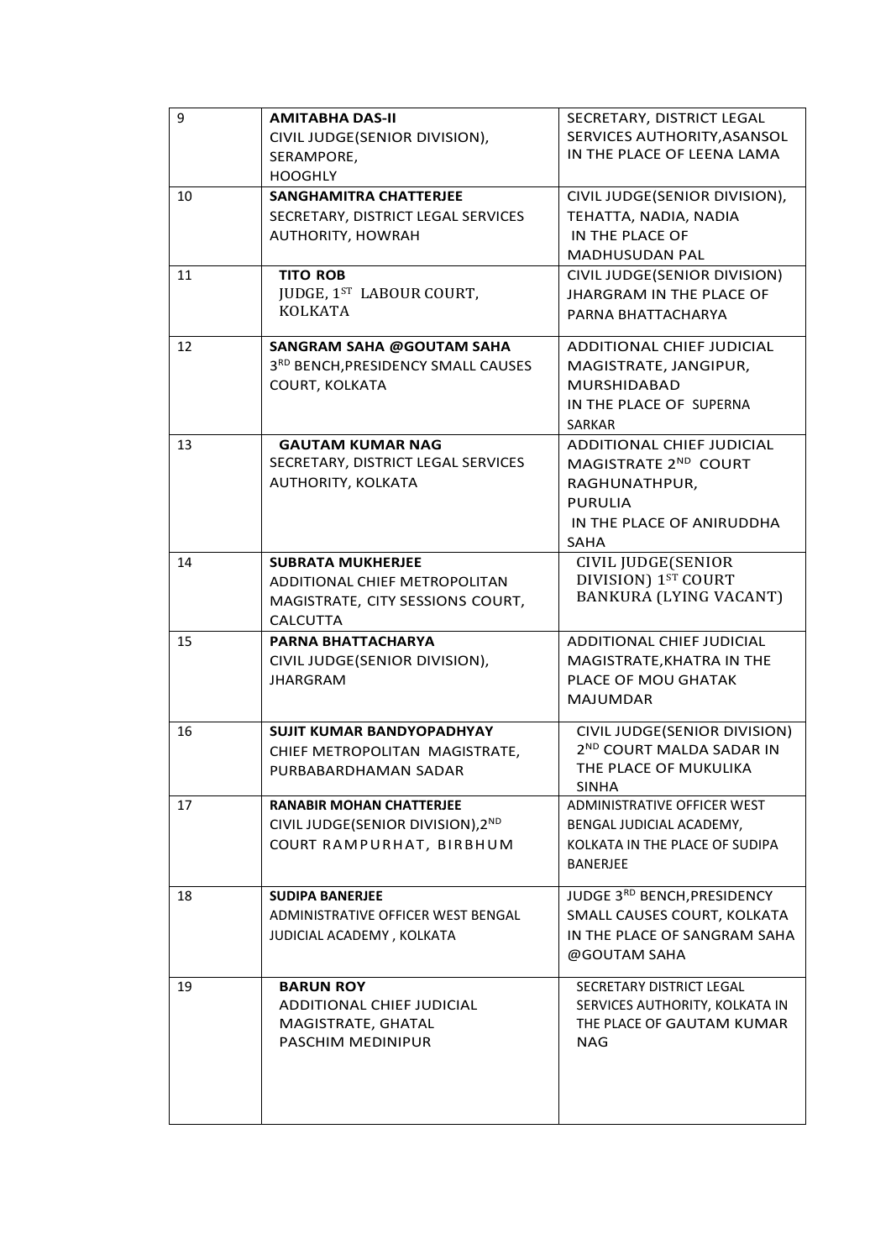| 9  | <b>AMITABHA DAS-II</b><br>CIVIL JUDGE(SENIOR DIVISION),<br>SERAMPORE,<br><b>HOOGHLY</b>                          | SECRETARY, DISTRICT LEGAL<br>SERVICES AUTHORITY, ASANSOL<br>IN THE PLACE OF LEENA LAMA                                           |
|----|------------------------------------------------------------------------------------------------------------------|----------------------------------------------------------------------------------------------------------------------------------|
| 10 | <b>SANGHAMITRA CHATTERJEE</b><br>SECRETARY, DISTRICT LEGAL SERVICES<br>AUTHORITY, HOWRAH                         | CIVIL JUDGE(SENIOR DIVISION),<br>TEHATTA, NADIA, NADIA<br>IN THE PLACE OF<br><b>MADHUSUDAN PAL</b>                               |
| 11 | <b>TITO ROB</b><br>JUDGE, 1ST LABOUR COURT,<br><b>KOLKATA</b>                                                    | CIVIL JUDGE(SENIOR DIVISION)<br><b>JHARGRAM IN THE PLACE OF</b><br>PARNA BHATTACHARYA                                            |
| 12 | <b>SANGRAM SAHA @GOUTAM SAHA</b><br>3RD BENCH, PRESIDENCY SMALL CAUSES<br>COURT, KOLKATA                         | ADDITIONAL CHIEF JUDICIAL<br>MAGISTRATE, JANGIPUR,<br><b>MURSHIDABAD</b><br>IN THE PLACE OF SUPERNA<br>SARKAR                    |
| 13 | <b>GAUTAM KUMAR NAG</b><br>SECRETARY, DISTRICT LEGAL SERVICES<br>AUTHORITY, KOLKATA                              | ADDITIONAL CHIEF JUDICIAL<br>MAGISTRATE 2ND COURT<br>RAGHUNATHPUR,<br><b>PURULIA</b><br>IN THE PLACE OF ANIRUDDHA<br><b>SAHA</b> |
| 14 | <b>SUBRATA MUKHERJEE</b><br>ADDITIONAL CHIEF METROPOLITAN<br>MAGISTRATE, CITY SESSIONS COURT,<br><b>CALCUTTA</b> | CIVIL JUDGE(SENIOR<br>DIVISION) 1ST COURT<br><b>BANKURA (LYING VACANT)</b>                                                       |
| 15 | PARNA BHATTACHARYA<br>CIVIL JUDGE(SENIOR DIVISION),<br><b>JHARGRAM</b>                                           | <b>ADDITIONAL CHIEF JUDICIAL</b><br>MAGISTRATE, KHATRA IN THE<br>PLACE OF MOU GHATAK<br><b>MAJUMDAR</b>                          |
| 16 | <b>SUJIT KUMAR BANDYOPADHYAY</b><br>CHIEF METROPOLITAN MAGISTRATE,<br>PURBABARDHAMAN SADAR                       | CIVIL JUDGE(SENIOR DIVISION)<br>2ND COURT MALDA SADAR IN<br>THE PLACE OF MUKULIKA<br><b>SINHA</b>                                |
| 17 | <b>RANABIR MOHAN CHATTERJEE</b><br>CIVIL JUDGE(SENIOR DIVISION), 2ND<br>COURT RAMPURHAT, BIRBHUM                 | ADMINISTRATIVE OFFICER WEST<br>BENGAL JUDICIAL ACADEMY,<br>KOLKATA IN THE PLACE OF SUDIPA<br><b>BANERJEE</b>                     |
| 18 | <b>SUDIPA BANERJEE</b><br>ADMINISTRATIVE OFFICER WEST BENGAL<br>JUDICIAL ACADEMY, KOLKATA                        | JUDGE 3RD BENCH, PRESIDENCY<br>SMALL CAUSES COURT, KOLKATA<br>IN THE PLACE OF SANGRAM SAHA<br>@GOUTAM SAHA                       |
| 19 | <b>BARUN ROY</b><br>ADDITIONAL CHIEF JUDICIAL<br>MAGISTRATE, GHATAL<br>PASCHIM MEDINIPUR                         | SECRETARY DISTRICT LEGAL<br>SERVICES AUTHORITY, KOLKATA IN<br>THE PLACE OF GAUTAM KUMAR<br>NAG                                   |